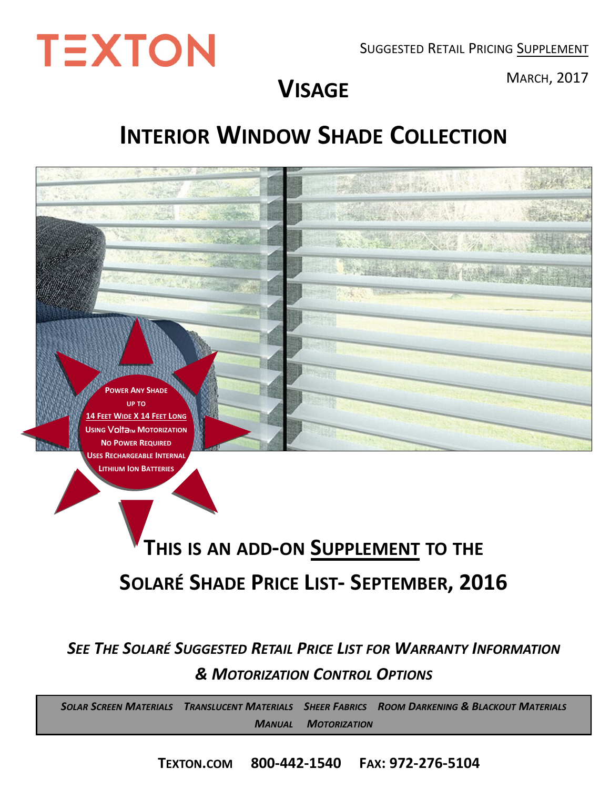SUGGESTED RETAIL PRICING SUPPLEMENT



<sup>M</sup>ARCH, 2017 **VISAGE**

# **INTERIOR WINDOW SHADE COLLECTION**



*SEE THE SOLARÉ SUGGESTED RETAIL PRICE LIST FOR WARRANTY INFORMATION & MOTORIZATION CONTROL OPTIONS*

SOLAR SCREEN MATERIALS TRANSLUCENT MATERIALS SHEER FABRICS ROOM DARKENING & BLACKOUT MATERIALS *MANUAL MOTORIZATION* 

**TEXTON.COM 800-442-1540 FAX: 972-276-5104**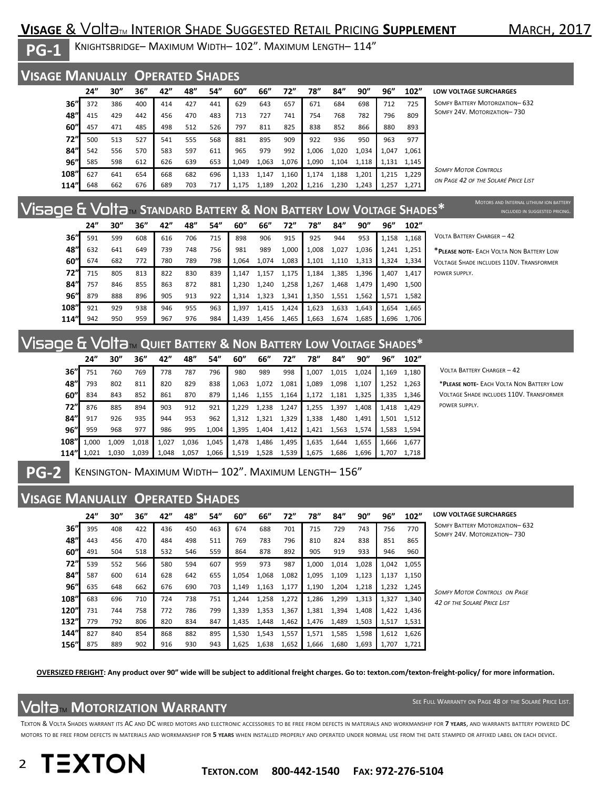### **VISAGE** & Volta<sub>TM</sub> INTERIOR SHADE SUGGESTED RETAIL PRICING **SUPPLEMENT** MARCH, 2017

**PG-1** 

**PG-2** 

KNIGHTSBRIDGE– MAXIMUM WIDTH– 102". MAXIMUM LENGTH– 114"

#### **VISAGE MANUALLY OPERATED SHADES**

|      | 24" | 30" | 36'' | 42" | 48" | 54" | 60''  | 66"   | 72"   | 78"   | 84"   | 90"   | 96"   | 102"  |
|------|-----|-----|------|-----|-----|-----|-------|-------|-------|-------|-------|-------|-------|-------|
| 36"  | 372 | 386 | 400  | 414 | 427 | 441 | 629   | 643   | 657   | 671   | 684   | 698   | 712   | 725   |
| 48"  | 415 | 429 | 442  | 456 | 470 | 483 | 713   | 727   | 741   | 754   | 768   | 782   | 796   | 809   |
| 60"  | 457 | 471 | 485  | 498 | 512 | 526 | 797   | 811   | 825   | 838   | 852   | 866   | 880   | 893   |
| 72"  | 500 | 513 | 527  | 541 | 555 | 568 | 881   | 895   | 909   | 922   | 936   | 950   | 963   | 977   |
| 84"  | 542 | 556 | 570  | 583 | 597 | 611 | 965   | 979   | 992   | 1.006 | 1,020 | 1,034 | 1.047 | 1,061 |
| 96'' | 585 | 598 | 612  | 626 | 639 | 653 | 1,049 | 1,063 | 1,076 | 1,090 | 1.104 | 1,118 | 1.131 | 1.145 |
| 108" | 627 | 641 | 654  | 668 | 682 | 696 | 1.133 | 1,147 | 1,160 | 1.174 | 1,188 | 1,201 | 1.215 | 1,229 |
| 114" | 648 | 662 | 676  | 689 | 703 | 717 | 1.175 | 1,189 | 1,202 | 1.216 | 1.230 | 1,243 | 1.257 | 1,271 |

**LOW VOLTAGE SURCHARGES** 

SOMFY BATTERY MOTORIZATION– 632 SOMFY 24V. MOTORIZATION– 730

*SOMFY MOTOR CONTROLS ON PAGE 42 OF THE SOLARÉ PRICE LIST*

# Visage & VoltaTM **STANDARD BATTERY & NON BATTERY LOW VOLTAGE SHADES\***

|            | 24" | 30" | 36'' | 42" | 48" | 54" | 60"   | 66"   | 72"   | 78"   | 84"   | 90''  | 96"   | 102"  |
|------------|-----|-----|------|-----|-----|-----|-------|-------|-------|-------|-------|-------|-------|-------|
| 36"        | 591 | 599 | 608  | 616 | 706 | 715 | 898   | 906   | 915   | 925   | 944   | 953   | 1,158 | 1,168 |
| 48"        | 632 | 641 | 649  | 739 | 748 | 756 | 981   | 989   | 1,000 | 1.008 | 1,027 | 1,036 | 1.241 | 1,251 |
| 60"        | 674 | 682 | 772  | 780 | 789 | 798 | 1.064 | 1.074 | 1,083 | 1,101 | 1,110 | 1,313 | 1.324 | 1.334 |
| <b>72"</b> | 715 | 805 | 813  | 822 | 830 | 839 | 1.147 | 1.157 | 1,175 | 1,184 | 1,385 | 1.396 | 1.407 | 1.417 |
| 84"        | 757 | 846 | 855  | 863 | 872 | 881 | 1,230 | 1,240 | 1,258 | 1,267 | 1,468 | 1.479 | 1.490 | 1,500 |
| 96''       | 879 | 888 | 896  | 905 | 913 | 922 | 1.314 | 1.323 | 1,341 | 1,350 | 1,551 | 1,562 | 1,571 | 1.582 |
| 108"       | 921 | 929 | 938  | 946 | 955 | 963 | 1.397 | 1,415 | 1,424 | 1,623 | 1,633 | 1,643 | 1.654 | 1,665 |
| 114"       | 942 | 950 | 959  | 967 | 976 | 984 | 1.439 | 1.456 | 1,465 | 1,663 | 1,674 | 1,685 | 1,696 | 1,706 |

VOLTA BATTERY CHARGER – 42

\***PLEASE NOTE-** EACH VOLTA NON BATTERY LOW VOLTAGE SHADE INCLUDES 110V. TRANSFORMER POWER SUPPLY.

#### Visage & VoltaTM **QUIET BATTERY & NON BATTERY LOW VOLTAGE SHADES\***

|       | 24"   | 30''  | 36''  | 42"   | 48"   | 54"   | 60"   | 66"   | 72"   | 78"   | 84"   | 90''  | 96"   | 102"  |
|-------|-------|-------|-------|-------|-------|-------|-------|-------|-------|-------|-------|-------|-------|-------|
| 36"   | 751   | 760   | 769   | 778   | 787   | 796   | 980   | 989   | 998   | 1.007 | 1,015 | 1,024 | 1,169 | 1,180 |
| 48"   | 793   | 802   | 811   | 820   | 829   | 838   | 1,063 | 1,072 | 1,081 | 1,089 | 1,098 | 1,107 | 1,252 | 1,263 |
| 60"   | 834   | 843   | 852   | 861   | 870   | 879   | 1.146 | 1,155 | 1,164 | 1,172 | 1,181 | 1,325 | 1,335 | 1.346 |
| 72"   | 876   | 885   | 894   | 903   | 912   | 921   | 1.229 | 1,238 | 1,247 | 1,255 | 1,397 | 1.408 | 1.418 | 1.429 |
| 84"   | 917   | 926   | 935   | 944   | 953   | 962   | 1,312 | 1,321 | 1,329 | 1,338 | 1,480 | 1.491 | 1,501 | 1,512 |
| 96''  | 959   | 968   | 977   | 986   | 995   | 1,004 | 1,395 | 1,404 | 1,412 | 1,421 | 1,563 | 1,574 | 1,583 | 1.594 |
| 108"l | 1.000 | 1,009 | 1,018 | 1,027 | 1,036 | 1,045 | 1,478 | 1,486 | 1,495 | 1,635 | 1,644 | 1,655 | 1.666 | 1,677 |
| 114"  | 1,021 | 1,030 | 1,039 | 1,048 | 1,057 | 1,066 | 1,519 | 1,528 | 1,539 | 1,675 | 1,686 | 1,696 | 1,707 | 1.718 |

VOLTA BATTERY CHARGER – 42

\***PLEASE NOTE-** EACH VOLTA NON BATTERY LOW VOLTAGE SHADE INCLUDES 110V. TRANSFORMER POWER SUPPLY.

| KENSINGTON- MAXIMUM WIDTH-102". MAXIMUM LENGTH-156" |  |
|-----------------------------------------------------|--|
|-----------------------------------------------------|--|

#### **VISAGE MANUALLY OPERATED SHADES**

|      | 24" | 30'' | 36'' | 42" | 48" | 54" | 60"   | 66"   | 72"   | 78"   | 84"   | 90''  | 96"   | 102"  | LOW               |
|------|-----|------|------|-----|-----|-----|-------|-------|-------|-------|-------|-------|-------|-------|-------------------|
| 36"  | 395 | 408  | 422  | 436 | 450 | 463 | 674   | 688   | 701   | 715   | 729   | 743   | 756   | 770   | SOM<br><b>SOM</b> |
| 48"  | 443 | 456  | 470  | 484 | 498 | 511 | 769   | 783   | 796   | 810   | 824   | 838   | 851   | 865   |                   |
| 60"  | 491 | 504  | 518  | 532 | 546 | 559 | 864   | 878   | 892   | 905   | 919   | 933   | 946   | 960   |                   |
| 72"  | 539 | 552  | 566  | 580 | 594 | 607 | 959   | 973   | 987   | 1,000 | 1,014 | 1,028 | 1,042 | 1,055 |                   |
| 84"  | 587 | 600  | 614  | 628 | 642 | 655 | 1,054 | 1,068 | 1,082 | 1,095 | 1,109 | 1,123 | 1,137 | 1,150 |                   |
| 96"  | 635 | 648  | 662  | 676 | 690 | 703 | 1,149 | 1,163 | 1,177 | 1,190 | 1,204 | 1,218 | 1,232 | 1,245 | <b>SOM</b>        |
| 108" | 683 | 696  | 710  | 724 | 738 | 751 | 1.244 | 1,258 | 1,272 | 1,286 | 1,299 | 1,313 | 1.327 | 1,340 | 42 <sub>o</sub>   |
| 120" | 731 | 744  | 758  | 772 | 786 | 799 | 1.339 | 1,353 | 1,367 | 1,381 | 1,394 | 1,408 | 1.422 | 1.436 |                   |
| 132" | 779 | 792  | 806  | 820 | 834 | 847 | 1,435 | 1,448 | 1,462 | 1,476 | 1,489 | 1,503 | 1,517 | 1,531 |                   |
| 144" | 827 | 840  | 854  | 868 | 882 | 895 | 1.530 | 1,543 | 1,557 | 1.571 | 1,585 | 1,598 | 1.612 | 1.626 |                   |
| 156" | 875 | 889  | 902  | 916 | 930 | 943 | 1,625 | 1,638 | 1,652 | 1,666 | 1,680 | 1,693 | 1,707 | 1,721 |                   |

**LOW VOLTAGE SURCHARGES** 

*SOMFY MOTOR CONTROLS ON PAGE 42 OF THE SOLARÉ PRICE LIST*

**OVERSIZED FREIGHT: Any product over 90" wide will be subject to additional freight charges. Go to: texton.com/texton-freight-policy/ for more information.**

### VoltaTM **MOTORIZATION WARRANTY**

SEE FULL WARRANTY ON PAGE 48 OF THE SOLARÉ PRICE LIST.

TEXTON & VOLTA SHADES WARRANT ITS AC AND DC WIRED MOTORS AND ELECTRONIC ACCESSORIES TO BE FREE FROM DEFECTS IN MATERIALS AND WORKMANSHIP FOR **7 YEARS**, AND WARRANTS BATTERY POWERED DC MOTORS TO BE FREE FROM DEFECTS IN MATERIALS AND WORKMANSHIP FOR **5 YEARS** WHEN INSTALLED PROPERLY AND OPERATED UNDER NORMAL USE FROM THE DATE STAMPED OR AFFIXED LABEL ON EACH DEVICE.

**TEXTON** 2

**TEXTON.COM 800-442-1540 FAX: 972-276-5104** 

**EV BATTERY MOTORIZATION– 632 FY 24V. MOTORIZATION–730**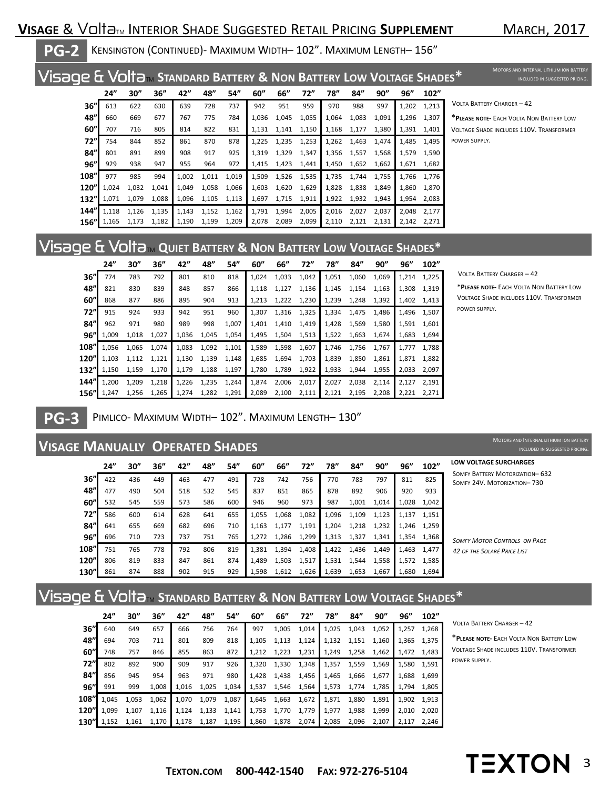### **VISAGE & VoltaTM INTERIOR SHADE SUGGESTED RETAIL PRICING SUPPLEMENT**

MOTORS AND INTERNAL LITHIUM ION BATTERY

**PG-2** <sup>K</sup>ENSINGTON (CONTINUED)- MAXIMUM WIDTH– 102". MAXIMUM LENGTH– 156"

# Visage & VoltaTM **STANDARD BATTERY & NON BATTERY LOW VOLTAGE SHADES\***

|      | 24"   | 30"   | 36''  | 42"   | 48"   | 54"   | 60''  | 66"   | 72"   | 78"   | 84"   | 90"   | 96"   | 102"  |
|------|-------|-------|-------|-------|-------|-------|-------|-------|-------|-------|-------|-------|-------|-------|
| 36'' | 613   | 622   | 630   | 639   | 728   | 737   | 942   | 951   | 959   | 970   | 988   | 997   | 1,202 | 1,213 |
| 48"  | 660   | 669   | 677   | 767   | 775   | 784   | 1,036 | 1,045 | 1,055 | 1,064 | 1,083 | 1,091 | 1,296 | 1,307 |
| 60'' | 707   | 716   | 805   | 814   | 822   | 831   | 1,131 | 1,141 | 1,150 | 1,168 | 1,177 | 1,380 | 1,391 | 1,401 |
| 72"  | 754   | 844   | 852   | 861   | 870   | 878   | 1,225 | 1,235 | 1,253 | 1,262 | 1,463 | 1,474 | 1,485 | 1,495 |
| 84'' | 801   | 891   | 899   | 908   | 917   | 925   | 1,319 | 1,329 | 1,347 | 1,356 | 1,557 | 1,568 | 1,579 | 1,590 |
| 96"  | 929   | 938   | 947   | 955   | 964   | 972   | 1,415 | 1,423 | 1,441 | 1,450 | 1,652 | 1,662 | 1,671 | 1,682 |
| 108" | 977   | 985   | 994   | 1.002 | 1,011 | 1.019 | 1,509 | 1,526 | 1,535 | 1,735 | 1,744 | 1,755 | 1.766 | 1.776 |
| 120" | 1.024 | 1.032 | 1.041 | 1.049 | 1,058 | 1,066 | 1,603 | 1,620 | 1,629 | 1,828 | 1,838 | 1.849 | 1.860 | 1,870 |
| 132" | 1.071 | 1.079 | 1,088 | 1,096 | 1,105 | 1,113 | 1,697 | 1,715 | 1,911 | 1,922 | 1,932 | 1,943 | 1,954 | 2,083 |
| 144" | 1,118 | 1,126 | 1,135 | 1,143 | 1,152 | 1,162 | 1,791 | 1,994 | 2,005 | 2,016 | 2,027 | 2,037 | 2,048 | 2,177 |
| 156" | 1,165 | 1,173 | 1,182 | 1,190 | 1,199 | 1,209 | 2,078 | 2,089 | 2,099 | 2,110 | 2,121 | 2,131 | 2,142 | 2,271 |

#### VOLTA BATTERY CHARGER – 42

\***PLEASE NOTE-** EACH VOLTA NON BATTERY LOW VOLTAGE SHADE INCLUDES 110V. TRANSFORMER POWER SUPPLY.

## Visage & VoltaTM **QUIET BATTERY & NON BATTERY LOW VOLTAGE SHADES\***

|      | 24"   | 30"   | 36''  | 42"   | 48"   | 54"   | 60''  | 66"   | 72"   | 78"   | 84''  | 90"   | 96"   | 102"  |
|------|-------|-------|-------|-------|-------|-------|-------|-------|-------|-------|-------|-------|-------|-------|
| 36"  | 774   | 783   | 792   | 801   | 810   | 818   | 1,024 | 1,033 | 1,042 | 1,051 | 1,060 | 1,069 | 1,214 | 1,225 |
| 48"  | 821   | 830   | 839   | 848   | 857   | 866   | 1,118 | 1,127 | 1,136 | 1,145 | 1,154 | 1,163 | 1,308 | 1,319 |
| 60"  | 868   | 877   | 886   | 895   | 904   | 913   | 1,213 | 1,222 | 1,230 | 1,239 | 1,248 | 1,392 | 1,402 | 1,413 |
| 72"  | 915   | 924   | 933   | 942   | 951   | 960   | 1,307 | 1,316 | 1,325 | 1,334 | 1,475 | 1,486 | 1.496 | 1,507 |
| 84"  | 962   | 971   | 980   | 989   | 998   | 1,007 | 1,401 | 1,410 | 1,419 | 1,428 | 1,569 | 1,580 | 1,591 | 1,601 |
| 96"  | 1,009 | 1,018 | 1,027 | 1,036 | 1,045 | 1,054 | 1,495 | 1,504 | 1,513 | 1,522 | 1,663 | 1,674 | 1,683 | 1,694 |
| 108" | 1.056 | 1,065 | 1,074 | 1,083 | 1,092 | 1,101 | 1,589 | 1,598 | 1,607 | 1,746 | 1,756 | 1,767 | 1,777 | 1,788 |
| 120" | 1,103 | 1,112 | 1,121 | 1,130 | 1,139 | 1,148 | 1,685 | 1,694 | 1,703 | 1,839 | 1,850 | 1,861 | 1,871 | 1,882 |
| 132" | 1,150 | 1,159 | 1,170 | 1,179 | 1,188 | 1,197 | 1,780 | 1,789 | 1,922 | 1,933 | 1,944 | 1,955 | 2,033 | 2,097 |
| 144" | 1.200 | 1,209 | 1,218 | 1,226 | 1,235 | 1,244 | 1,874 | 2,006 | 2,017 | 2,027 | 2,038 | 2,114 | 2,127 | 2.191 |
| 156" | 1,247 | 1,256 | 1,265 | 1,274 | 1,282 | 1,291 | 2,089 | 2,100 | 2,111 | 2,121 | 2,195 | 2,208 | 2,221 | 2.271 |

VOLTA BATTERY CHARGER – 42

\***PLEASE NOTE-** EACH VOLTA NON BATTERY LOW VOLTAGE SHADE INCLUDES 110V. TRANSFORMER POWER SUPPLY.

#### PIMLICO- MAXIMUM WIDTH– 102". MAXIMUM LENGTH– 130" **PG-3**

#### **VISAGE MANUALLY OPERATED SHADES**

|      | 24" | 30'' | 36'' | 42" | 48" | 54" | 60''  | 66"   | 72"   | 78"   | 84"   | 90''  | 96"   | 102"  | LOW V                        |
|------|-----|------|------|-----|-----|-----|-------|-------|-------|-------|-------|-------|-------|-------|------------------------------|
| 36'' | 422 | 436  | 449  | 463 | 477 | 491 | 728   | 742   | 756   | 770   | 783   | 797   | 811   | 825   | <b>SOMFY</b><br><b>SOMFY</b> |
| 48"  | 477 | 490  | 504  | 518 | 532 | 545 | 837   | 851   | 865   | 878   | 892   | 906   | 920   | 933   |                              |
| 60'' | 532 | 545  | 559  | 573 | 586 | 600 | 946   | 960   | 973   | 987   | 1,001 | 1.014 | 1.028 | 1.042 |                              |
| 72"  | 586 | 600  | 614  | 628 | 641 | 655 | 1.055 | 1,068 | 1,082 | 1,096 | 1,109 | 1,123 | 1.137 | 1.151 |                              |
| 84'' | 641 | 655  | 669  | 682 | 696 | 710 | 1.163 | 1,177 | 1,191 | 1,204 | 1,218 | 1,232 | 1.246 | 1.259 |                              |
| 96"  | 696 | 710  | 723  | 737 | 751 | 765 | 1,272 | 1,286 | 1,299 | 1,313 | 1,327 | 1,341 | 1,354 | 1,368 | <b>SOMFY</b>                 |
| 108" | 751 | 765  | 778  | 792 | 806 | 819 | 1,381 | 1,394 | 1,408 | 1,422 | 1,436 | 1,449 | 1.463 | 1,477 | 42 OF 1                      |
| 120" | 806 | 819  | 833  | 847 | 861 | 874 | 1.489 | 1,503 | 1,517 | 1,531 | 1,544 | 1,558 | 1,572 | 1.585 |                              |
| 130" | 861 | 874  | 888  | 902 | 915 | 929 | 1,598 | 1,612 | 1,626 | 1,639 | 1,653 | 1,667 | 1.680 | 1,694 |                              |

**OLTAGE SURCHARGES** 

BATTERY MOTORIZATION-632 24V. MOTORIZATION-730

MOTORS AND INTERNAL LITHIUM ION BATTERY INCLUDED IN SUGGESTED PRICIN

*SOMFY MOTOR CONTROLS ON PAGE 42 OF THE SOLARÉ PRICE LIST*

# Visage & VoltaTM **STANDARD BATTERY & NON BATTERY LOW VOLTAGE SHADES\***

|       | 24"   | 30"   | 36''  | 42"   | 48"   | 54"   | 60''  | 66"   | 72"   | 78"   | 84"   | 90"   | 96"   | 102"  |
|-------|-------|-------|-------|-------|-------|-------|-------|-------|-------|-------|-------|-------|-------|-------|
| 36"   | 640   | 649   | 657   | 666   | 756   | 764   | 997   | 1,005 | 1,014 | 1,025 | 1,043 | 1,052 | 1.257 | 1.268 |
| 48"   | 694   | 703   | 711   | 801   | 809   | 818   | 1.105 | 1,113 | 1,124 | 1,132 | 1,151 | 1,160 | 1.365 | 1.375 |
| 60"   | 748   | 757   | 846   | 855   | 863   | 872   | 1.212 | 1.223 | 1,231 | 1,249 | 1,258 | 1,462 | 1,472 | 1.483 |
| 72"   | 802   | 892   | 900   | 909   | 917   | 926   | 1.320 | 1,330 | 1,348 | 1,357 | 1,559 | 1,569 | 1.580 | 1,591 |
| 84"   | 856   | 945   | 954   | 963   | 971   | 980   | 1,428 | 1,438 | 1,456 | 1,465 | 1,666 | 1,677 | 1.688 | 1,699 |
| 96"   | 991   | 999   | 1,008 | 1,016 | 1,025 | 1,034 | 1,537 | 1,546 | 1,564 | 1,573 | 1,774 | 1,785 | 1,794 | 1,805 |
| 108"  | 1.045 | 1,053 | 1,062 | 1.070 | 1,079 | 1,087 | 1,645 | 1,663 | 1,672 | 1,871 | 1,880 | 1,891 | 1.902 | 1.913 |
| 120"  | 1,099 | 1,107 | 1,116 | 1,124 | 1,133 | 1,141 | 1,753 | 1,770 | 1,779 | 1,977 | 1,988 | 1,999 | 2,010 | 2,020 |
| 130"l | 1,152 | 1,161 | 1,170 | 1,178 | 1,187 | 1,195 | 1,860 | 1,878 | 2,074 | 2,085 | 2,096 | 2,107 | 2.117 | 2.246 |

VOLTA BATTERY CHARGER – 42

\***PLEASE NOTE-** EACH VOLTA NON BATTERY LOW VOLTAGE SHADE INCLUDES 110V. TRANSFORMER POWER SUPPLY.

**TEXTON** 

3